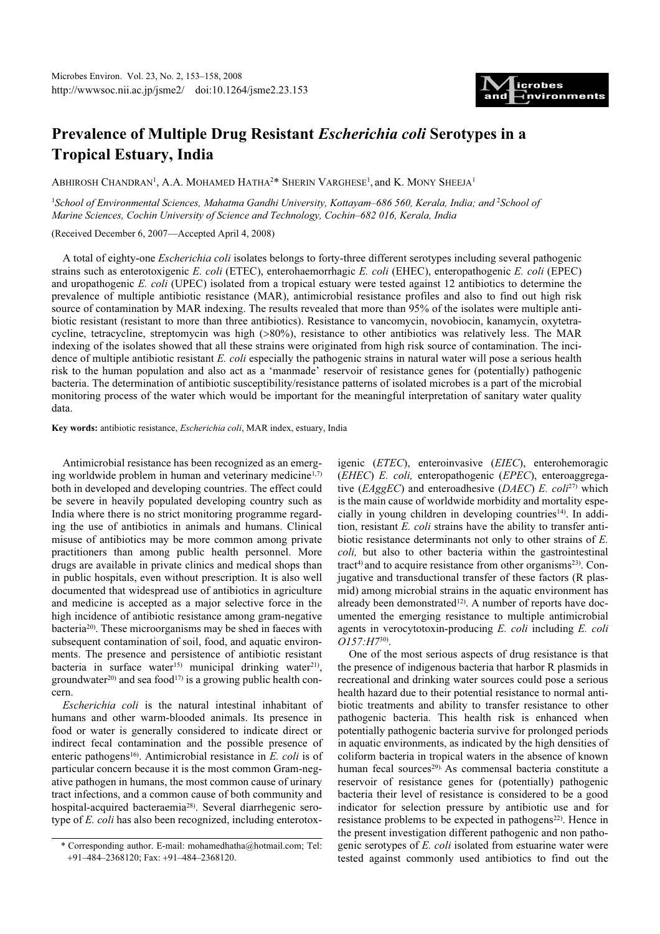

# Prevalence of Multiple Drug Resistant Escherichia coli Serotypes in a Tropical Estuary, India

ABHIROSH CHANDRAN<sup>1</sup>, A.A. MOHAMED HATHA<sup>2\*</sup> SHERIN VARGHESE<sup>1</sup>, and K. MONY SHEEJA<sup>1</sup>

<sup>1</sup>School of Environmental Sciences, Mahatma Gandhi University, Kottayam-686 560, Kerala, India; and <sup>2</sup>School of Marine Sciences, Cochin University of Science and Technology, Cochin–682 016, Kerala, India

(Received December 6, 2007—Accepted April 4, 2008)

A total of eighty-one Escherichia coli isolates belongs to forty-three different serotypes including several pathogenic strains such as enterotoxigenic E. coli (ETEC), enterohaemorrhagic E. coli (EHEC), enteropathogenic E. coli (EPEC) and uropathogenic E. coli (UPEC) isolated from a tropical estuary were tested against 12 antibiotics to determine the prevalence of multiple antibiotic resistance (MAR), antimicrobial resistance profiles and also to find out high risk source of contamination by MAR indexing. The results revealed that more than 95% of the isolates were multiple antibiotic resistant (resistant to more than three antibiotics). Resistance to vancomycin, novobiocin, kanamycin, oxytetracycline, tetracycline, streptomycin was high (>80%), resistance to other antibiotics was relatively less. The MAR indexing of the isolates showed that all these strains were originated from high risk source of contamination. The incidence of multiple antibiotic resistant  $E.$  coli especially the pathogenic strains in natural water will pose a serious health risk to the human population and also act as a 'manmade' reservoir of resistance genes for (potentially) pathogenic bacteria. The determination of antibiotic susceptibility/resistance patterns of isolated microbes is a part of the microbial monitoring process of the water which would be important for the meaningful interpretation of sanitary water quality data.

#### Key words: antibiotic resistance, Escherichia coli, MAR index, estuary, India

Antimicrobial resistance has been recognized as an emerging worldwide problem in human and veterinary medicine<sup>1,7)</sup> both in developed and developing countries. The effect could be severe in heavily populated developing country such as India where there is no strict monitoring programme regarding the use of antibiotics in animals and humans. Clinical misuse of antibiotics may be more common among private practitioners than among public health personnel. More drugs are available in private clinics and medical shops than in public hospitals, even without prescription. It is also well documented that widespread use of antibiotics in agriculture and medicine is accepted as a major selective force in the high incidence of antibiotic resistance among gram-negative bacteria20). These microorganisms may be shed in faeces with subsequent contamination of soil, food, and aquatic environments. The presence and persistence of antibiotic resistant bacteria in surface water<sup>15)</sup> municipal drinking water<sup>21</sup>), groundwater<sup>20)</sup> and sea food<sup>17)</sup> is a growing public health concern.

Escherichia coli is the natural intestinal inhabitant of humans and other warm-blooded animals. Its presence in food or water is generally considered to indicate direct or indirect fecal contamination and the possible presence of enteric pathogens<sup>16</sup>. Antimicrobial resistance in  $E$ . *coli* is of particular concern because it is the most common Gram-negative pathogen in humans, the most common cause of urinary tract infections, and a common cause of both community and hospital-acquired bacteraemia28). Several diarrhegenic serotype of E. coli has also been recognized, including enterotox-

igenic (ETEC), enteroinvasive (EIEC), enterohemoragic (EHEC) E. coli, enteropathogenic (EPEC), enteroaggregative ( $EAggEC$ ) and enteroadhesive ( $DAEC$ ) E. coli<sup>27)</sup> which is the main cause of worldwide morbidity and mortality especially in young children in developing countries<sup>14)</sup>. In addition, resistant E. coli strains have the ability to transfer antibiotic resistance determinants not only to other strains of E. coli, but also to other bacteria within the gastrointestinal tract<sup>4)</sup> and to acquire resistance from other organisms<sup>23)</sup>. Conjugative and transductional transfer of these factors (R plasmid) among microbial strains in the aquatic environment has already been demonstrated<sup>12)</sup>. A number of reports have documented the emerging resistance to multiple antimicrobial agents in verocytotoxin-producing E. coli including E. coli O157:H730).

One of the most serious aspects of drug resistance is that the presence of indigenous bacteria that harbor R plasmids in recreational and drinking water sources could pose a serious health hazard due to their potential resistance to normal antibiotic treatments and ability to transfer resistance to other pathogenic bacteria. This health risk is enhanced when potentially pathogenic bacteria survive for prolonged periods in aquatic environments, as indicated by the high densities of coliform bacteria in tropical waters in the absence of known human fecal sources<sup>29).</sup> As commensal bacteria constitute a reservoir of resistance genes for (potentially) pathogenic bacteria their level of resistance is considered to be a good indicator for selection pressure by antibiotic use and for resistance problems to be expected in pathogens $^{22}$ ). Hence in the present investigation different pathogenic and non pathogenic serotypes of E. coli isolated from estuarine water were tested against commonly used antibiotics to find out the

<sup>\*</sup> Corresponding author. E-mail: mohamedhatha@hotmail.com; Tel: +91–484–2368120; Fax: +91–484–2368120.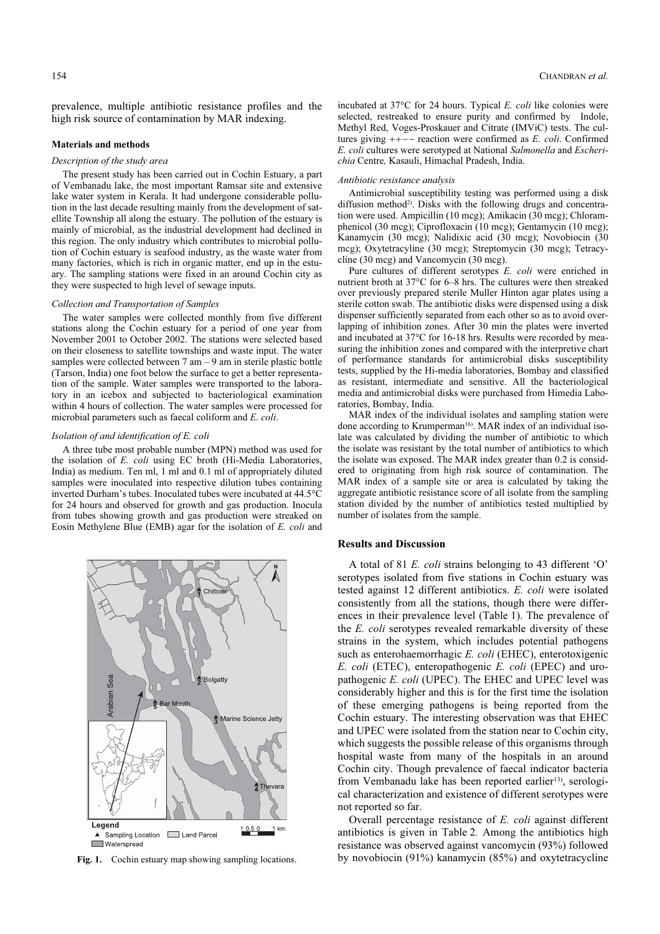prevalence, multiple antibiotic resistance profiles and the high risk source of contamination by MAR indexing.

#### Materials and methods

# Description of the study area

The present study has been carried out in Cochin Estuary, a part of Vembanadu lake, the most important Ramsar site and extensive lake water system in Kerala. It had undergone considerable pollution in the last decade resulting mainly from the development of satellite Township all along the estuary. The pollution of the estuary is mainly of microbial, as the industrial development had declined in this region. The only industry which contributes to microbial pollution of Cochin estuary is seafood industry, as the waste water from many factories, which is rich in organic matter, end up in the estuary. The sampling stations were fixed in an around Cochin city as they were suspected to high level of sewage inputs.

## Collection and Transportation of Samples

The water samples were collected monthly from five different stations along the Cochin estuary for a period of one year from November 2001 to October 2002. The stations were selected based on their closeness to satellite townships and waste input. The water samples were collected between  $7 \text{ am} - 9 \text{ am}$  in sterile plastic bottle (Tarson, India) one foot below the surface to get a better representation of the sample. Water samples were transported to the laboratory in an icebox and subjected to bacteriological examination within 4 hours of collection. The water samples were processed for microbial parameters such as faecal coliform and E. coli.

#### Isolation of and identification of E. coli

A three tube most probable number (MPN) method was used for the isolation of E. coli using EC broth (Hi-Media Laboratories, India) as medium. Ten ml, 1 ml and 0.1 ml of appropriately diluted samples were inoculated into respective dilution tubes containing inverted Durham's tubes. Inoculated tubes were incubated at 44.5°C for 24 hours and observed for growth and gas production. Inocula from tubes showing growth and gas production were streaked on Eosin Methylene Blue (EMB) agar for the isolation of E. coli and



incubated at  $37^{\circ}$ C for 24 hours. Typical *E. coli* like colonies were selected, restreaked to ensure purity and confirmed by Indole, Methyl Red, Voges-Proskauer and Citrate (IMViC) tests. The cultures giving ++−− reaction were confirmed as E. coli. Confirmed E. coli cultures were serotyped at National Salmonella and Escherichia Centre, Kasauli, Himachal Pradesh, India.

### Antibiotic resistance analysis

Antimicrobial susceptibility testing was performed using a disk diffusion method<sup>2)</sup>. Disks with the following drugs and concentration were used. Ampicillin (10 mcg); Amikacin (30 mcg); Chloramphenicol (30 mcg); Ciprofloxacin (10 mcg); Gentamycin (10 mcg); Kanamycin (30 mcg); Nalidixic acid (30 mcg); Novobiocin (30 mcg); Oxytetracyline (30 mcg); Streptomycin (30 mcg); Tetracycline (30 mcg) and Vancomycin (30 mcg).

Pure cultures of different serotypes E. coli were enriched in nutrient broth at 37°C for 6–8 hrs. The cultures were then streaked over previously prepared sterile Muller Hinton agar plates using a sterile cotton swab. The antibiotic disks were dispensed using a disk dispenser sufficiently separated from each other so as to avoid overlapping of inhibition zones. After 30 min the plates were inverted and incubated at 37°C for 16-18 hrs. Results were recorded by measuring the inhibition zones and compared with the interpretive chart of performance standards for antimicrobial disks susceptibility tests, supplied by the Hi-media laboratories, Bombay and classified as resistant, intermediate and sensitive. All the bacteriological media and antimicrobial disks were purchased from Himedia Laboratories, Bombay, India.

MAR index of the individual isolates and sampling station were done according to Krumperman<sup>16</sup>. MAR index of an individual isolate was calculated by dividing the number of antibiotic to which the isolate was resistant by the total number of antibiotics to which the isolate was exposed. The MAR index greater than 0.2 is considered to originating from high risk source of contamination. The MAR index of a sample site or area is calculated by taking the aggregate antibiotic resistance score of all isolate from the sampling station divided by the number of antibiotics tested multiplied by number of isolates from the sample.

#### Results and Discussion

A total of 81 E. coli strains belonging to 43 different 'O' serotypes isolated from five stations in Cochin estuary was tested against 12 different antibiotics. E. coli were isolated consistently from all the stations, though there were differences in their prevalence level (Table 1). The prevalence of the E. coli serotypes revealed remarkable diversity of these strains in the system, which includes potential pathogens such as enterohaemorrhagic E. coli (EHEC), enterotoxigenic E. coli (ETEC), enteropathogenic E. coli (EPEC) and uropathogenic E. coli (UPEC). The EHEC and UPEC level was considerably higher and this is for the first time the isolation of these emerging pathogens is being reported from the Cochin estuary. The interesting observation was that EHEC and UPEC were isolated from the station near to Cochin city, which suggests the possible release of this organisms through hospital waste from many of the hospitals in an around Cochin city. Though prevalence of faecal indicator bacteria from Vembanadu lake has been reported earlier<sup>13)</sup>, serological characterization and existence of different serotypes were not reported so far.

Overall percentage resistance of E. coli against different antibiotics is given in Table 2. Among the antibiotics high resistance was observed against vancomycin (93%) followed Fig. 1. Cochin estuary map showing sampling locations. by novobiocin (91%) kanamycin (85%) and oxytetracycline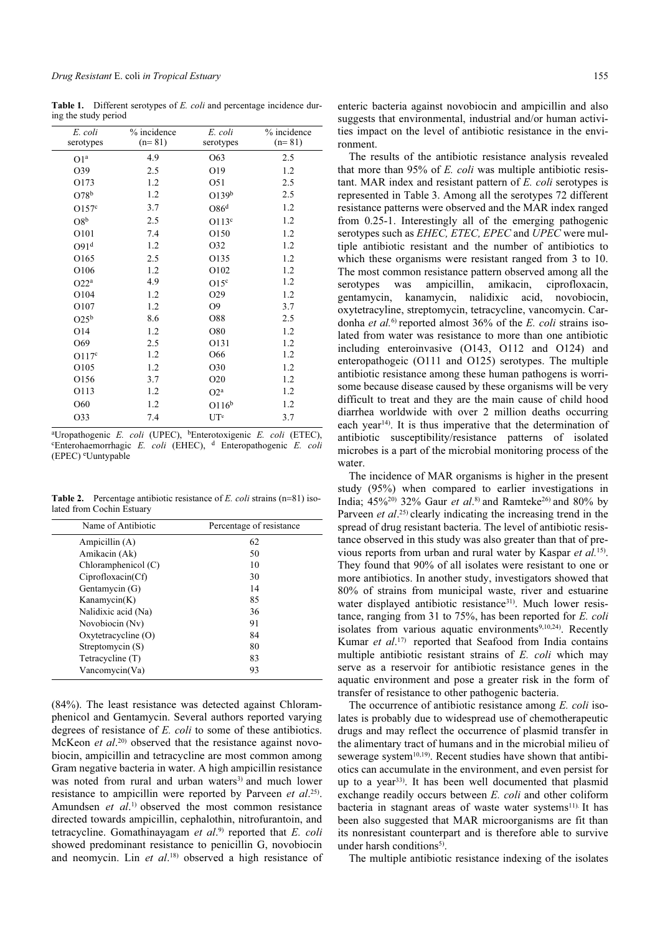Table 1. Different serotypes of *E. coli* and percentage incidence during the study period

| E. coli<br>serotypes | % incidence<br>$(n=81)$ | E. coli<br>serotypes | % incidence<br>$(n=81)$ |
|----------------------|-------------------------|----------------------|-------------------------|
| O1 <sup>a</sup>      | 4.9                     | O63                  | 2.5                     |
| O39                  | 2.5                     | O19                  | 1.2                     |
| O173                 | 1.2                     | O51                  | 2.5                     |
| O78 <sup>b</sup>     | 1.2                     | O139 <sup>b</sup>    | 2.5                     |
| O157 <sup>c</sup>    | 3.7                     | O86 <sup>d</sup>     | 1.2                     |
| O8 <sup>b</sup>      | 2.5                     | O113 <sup>c</sup>    | 1.2                     |
| O101                 | 7.4                     | O150                 | 1.2                     |
| O91 <sup>d</sup>     | 1.2                     | O32                  | 1.2                     |
| O165                 | 2.5                     | O135                 | 1.2                     |
| O106                 | 1.2                     | O102                 | 1.2                     |
| O22 <sup>a</sup>     | 4.9                     | O15 <sup>c</sup>     | 1.2                     |
| O104                 | 1.2                     | O29                  | 1.2                     |
| O107                 | 1.2                     | O <sub>9</sub>       | 3.7                     |
| $O25^b$              | 8.6                     | O88                  | 2.5                     |
| O14                  | 1.2                     | O80                  | 1.2                     |
| O69                  | 2.5                     | O131                 | 1.2                     |
| O117 <sup>c</sup>    | 1.2                     | O66                  | 1.2                     |
| O105                 | 1.2                     | O30                  | 1.2                     |
| O156                 | 3.7                     | O <sub>20</sub>      | 1.2                     |
| O113                 | 1.2                     | $O2^a$               | 1.2                     |
| O60                  | 1.2                     | O116 <sup>b</sup>    | 1.2                     |
| O33                  | 7.4                     | UTe                  | 3.7                     |
|                      |                         |                      |                         |

<sup>a</sup>Uropathogenic *E. coli* (UPEC), <sup>b</sup>Enterotoxigenic *E. coli* (ETEC), <sup>c</sup>  ${}^{\text{c}}$ Enterohaemorrhagic *E. coli* (EHEC), <sup>d</sup> Enteropathogenic *E. coli* (EPEC) <sup>e</sup> Uuntypable

**Table 2.** Percentage antibiotic resistance of E. coli strains  $(n=81)$  isolated from Cochin Estuary

| Name of Antibiotic    | Percentage of resistance |  |  |
|-----------------------|--------------------------|--|--|
| Ampicillin $(A)$      | 62                       |  |  |
| Amikacin (Ak)         | 50                       |  |  |
| Chloramphenicol $(C)$ | 10                       |  |  |
| Ciproflox (Cf)        | 30                       |  |  |
| Gentamycin (G)        | 14                       |  |  |
| Kanamycin $(K)$       | 85                       |  |  |
| Nalidixic acid (Na)   | 36                       |  |  |
| Novobiocin (Nv)       | 91                       |  |  |
| Oxytetracycline (O)   | 84                       |  |  |
| Streptomycin (S)      | 80                       |  |  |
| Tetracycline (T)      | 83                       |  |  |
| Vancomycin(Va)        | 93                       |  |  |
|                       |                          |  |  |

(84%). The least resistance was detected against Chloramphenicol and Gentamycin. Several authors reported varying degrees of resistance of E. *coli* to some of these antibiotics. McKeon *et al.*<sup>20)</sup> observed that the resistance against novo-<br>biocin, ampicillin and tetracycline are most common among biocin, ampicillin and tetracycline are most common among Gram negative bacteria in water. A high ampicillin resistance was noted from rural and urban waters<sup>3)</sup> and much lower resistance to ampicillin were reported by Parveen *et al.*<sup>25)</sup>.<br>Amundsen *et al*<sup>1</sup>) observed the most common resistance Amundsen *et al.*<sup>1)</sup> observed the most common resistance<br>directed towards amnicillin cenhalothin nitrofurantoin and directed towards ampicillin, cephalothin, nitrofurantoin, and tetracycline. Gomathinayagam *et al.*<sup>9)</sup> reported that *E. coli* showed predominant resistance to penicillin G. novobiocin showed predominant resistance to penicillin G, novobiocin and neomycin. Lin et  $al$ <sup>18</sup> observed a high resistance of

enteric bacteria against novobiocin and ampicillin and also suggests that environmental, industrial and/or human activities impact on the level of antibiotic resistance in the environment.

The results of the antibiotic resistance analysis revealed that more than 95% of E. coli was multiple antibiotic resistant. MAR index and resistant pattern of E. coli serotypes is represented in Table 3. Among all the serotypes 72 different resistance patterns were observed and the MAR index ranged from 0.25-1. Interestingly all of the emerging pathogenic serotypes such as *EHEC*, *ETEC*, *EPEC* and *UPEC* were multiple antibiotic resistant and the number of antibiotics to which these organisms were resistant ranged from 3 to 10. The most common resistance pattern observed among all the serotypes was ampicillin, amikacin, ciprofloxacin, gentamycin, kanamycin, nalidixic acid, novobiocin, oxytetracyline, streptomycin, tetracycline, vancomycin. Cardonha et  $al$ .<sup>6)</sup> reported almost 36% of the E. coli strains isolated from water was resistance to more than one antibiotic including enteroinvasive (O143, O112 and O124) and enteropathogeic (O111 and O125) serotypes. The multiple antibiotic resistance among these human pathogens is worrisome because disease caused by these organisms will be very difficult to treat and they are the main cause of child hood diarrhea worldwide with over 2 million deaths occurring each year<sup>14)</sup>. It is thus imperative that the determination of antibiotic susceptibility/resistance patterns of isolated microbes is a part of the microbial monitoring process of the water.

The incidence of MAR organisms is higher in the present study (95%) when compared to earlier investigations in India;  $45\frac{620}{1}$  32% Gaur *et al.*<sup>8</sup>) and Ramteke<sup>26</sup> and 80% by<br>Parveen *et al.*<sup>25</sup>) clearly indicating the increasing trend in the Parveen *et al.*<sup>25</sup>) clearly indicating the increasing trend in the spread of drug resistant bacteria. The level of antibiotic resisspread of drug resistant bacteria. The level of antibiotic resistance observed in this study was also greater than that of previous reports from urban and rural water by Kaspar et al.<sup>15)</sup>. They found that 90% of all isolates were resistant to one or more antibiotics. In another study, investigators showed that 80% of strains from municipal waste, river and estuarine water displayed antibiotic resistance<sup>31</sup>). Much lower resistance, ranging from 31 to 75%, has been reported for E. coli isolates from various aquatic environments<sup>9,10,24</sup>). Recently Kumar *et al.*<sup>17</sup> reported that Seafood from India contains<br>multiple antibiotic resistant strains of  $F$  coli which may multiple antibiotic resistant strains of E. coli which may serve as a reservoir for antibiotic resistance genes in the aquatic environment and pose a greater risk in the form of transfer of resistance to other pathogenic bacteria.

The occurrence of antibiotic resistance among E. coli isolates is probably due to widespread use of chemotherapeutic drugs and may reflect the occurrence of plasmid transfer in the alimentary tract of humans and in the microbial milieu of sewerage system $10,19$ ). Recent studies have shown that antibiotics can accumulate in the environment, and even persist for up to a year<sup>33)</sup>. It has been well documented that plasmid exchange readily occurs between E. coli and other coliform bacteria in stagnant areas of waste water systems<sup>11).</sup> It has been also suggested that MAR microorganisms are fit than its nonresistant counterpart and is therefore able to survive under harsh conditions<sup>5)</sup>.

The multiple antibiotic resistance indexing of the isolates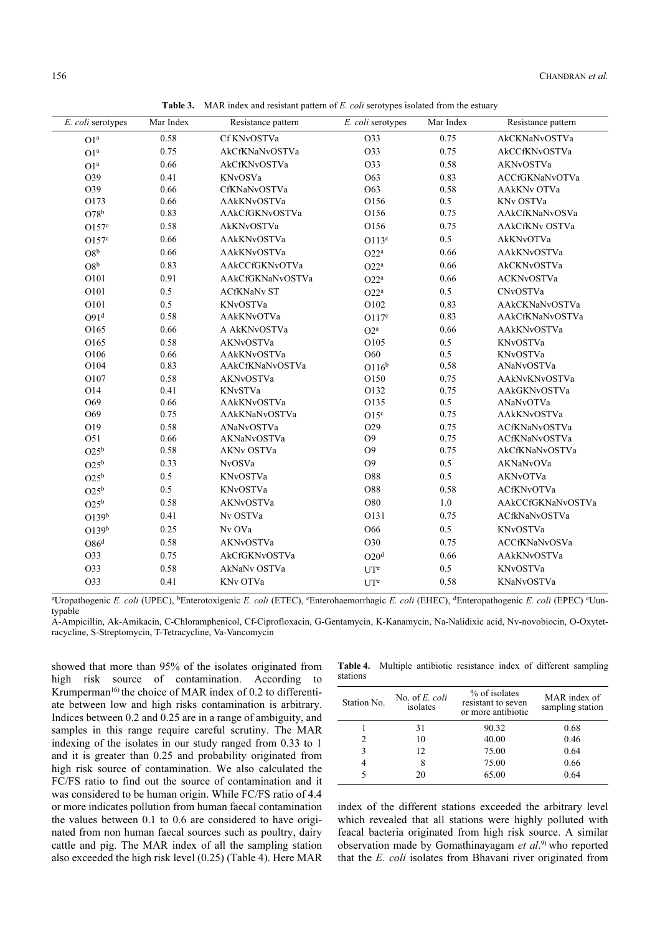| E. coli serotypes | Mar Index | Resistance pattern   | E. coli serotypes | Mar Index | Resistance pattern |
|-------------------|-----------|----------------------|-------------------|-----------|--------------------|
| O1 <sup>a</sup>   | 0.58      | Cf KNvOSTVa          | O33               | 0.75      | AkCKNaNvOSTVa      |
| O1 <sup>a</sup>   | 0.75      | AkCfKNaNvOSTVa       | O33               | 0.75      | AkCCfKNvOSTVa      |
| O1 <sup>a</sup>   | 0.66      | AkCfKNvOSTVa         | O33               | 0.58      | AKNvOSTVa          |
| O39               | 0.41      | KNvOSVa              | O63               | 0.83      | ACCfGKNaNvOTVa     |
| O39               | 0.66      | CfKNaNvOSTVa         | O63               | 0.58      | <b>AAkKNv OTVa</b> |
| O173              | 0.66      | AAkKNvOSTVa          | O156              | 0.5       | KNv OSTVa          |
| O78 <sup>b</sup>  | 0.83      | AAkCfGKNvOSTVa       | O156              | 0.75      | AAkCfKNaNvOSVa     |
| O157 <sup>c</sup> | 0.58      | AkKNvOSTVa           | O156              | 0.75      | AAkCfKNv OSTVa     |
| O157 <sup>c</sup> | 0.66      | AAkKNvOSTVa          | O113 <sup>c</sup> | $0.5\,$   | AkKNvOTVa          |
| $\rm{O8}^b$       | 0.66      | AAkKNvOSTVa          | O22 <sup>a</sup>  | 0.66      | AAkKNvOSTVa        |
| O8 <sup>b</sup>   | 0.83      | AAkCCfGKNvOTVa       | O22 <sup>a</sup>  | 0.66      | AkCKNvOSTVa        |
| O101              | 0.91      | AAkCfGKNaNvOSTVa     | O22 <sup>a</sup>  | 0.66      | <b>ACKNvOSTVa</b>  |
| O101              | 0.5       | <b>ACfKNaNv ST</b>   | O22 <sup>a</sup>  | 0.5       | CNvOSTVa           |
| O101              | 0.5       | <b>KNvOSTVa</b>      | O102              | 0.83      | AAkCKNaNvOSTVa     |
| O91 <sup>d</sup>  | 0.58      | AAkKNvOTVa           | O117 <sup>c</sup> | 0.83      | AAkCfKNaNvOSTVa    |
| O165              | 0.66      | A AkKNvOSTVa         | $O2^a$            | 0.66      | AAkKNvOSTVa        |
| O165              | 0.58      | AKNvOSTVa            | O105              | 0.5       | KNvOSTVa           |
| O106              | 0.66      | AAkKNvOSTVa          | O60               | 0.5       | KNvOSTVa           |
| O104              | 0.83      | AAkCfKNaNvOSTVa      | O116 <sup>b</sup> | 0.58      | ANaNvOSTVa         |
| O107              | 0.58      | AKNvOSTVa            | O150              | 0.75      | AAkNvKNvOSTVa      |
| O14               | 0.41      | KNvSTVa              | O132              | 0.75      | AAkGKNvOSTVa       |
| O69               | 0.66      | AAkKNvOSTVa          | O135              | 0.5       | ANaNvOTVa          |
| O69               | 0.75      | AAkKNaNvOSTVa        | $O15^c$           | 0.75      | AAkKNvOSTVa        |
| O19               | 0.58      | ANaNvOSTVa           | O29               | 0.75      | ACfKNaNvOSTVa      |
| O51               | 0.66      | AKNaNvOSTVa          | O <sub>9</sub>    | 0.75      | ACfKNaNvOSTVa      |
| $O25^b$           | 0.58      | AKNv OSTVa           | O <sub>9</sub>    | 0.75      | AkCfKNaNvOSTVa     |
| $O25^b$           | 0.33      | NvOSVa               | O <sub>9</sub>    | 0.5       | AKNaNvOVa          |
| $O25^b$           | 0.5       | KNvOSTVa             | O88               | 0.5       | AKNvOTVa           |
| $O25^b$           | 0.5       | <b>KNvOSTVa</b>      | O88               | 0.58      | <b>ACfKNvOTVa</b>  |
| $O25^b$           | 0.58      | <b>AKNvOSTVa</b>     | O80               | 1.0       | AAkCCfGKNaNvOSTVa  |
| O139 <sup>b</sup> | 0.41      | Nv OSTVa             | O131              | 0.75      | ACfkNaNvOSTVa      |
| O139 <sup>b</sup> | 0.25      | Nv OVa               | O66               | 0.5       | KNvOSTVa           |
| $\rm O86^d$       | 0.58      | AKNvOSTVa            | O30               | 0.75      | ACCfKNaNvOSVa      |
| O33               | 0.75      | AkCfGKNvOSTVa        | O20 <sup>d</sup>  | 0.66      | AAkKNvOSTVa        |
| O33               | 0.58      | AkNaNv OSTVa         | $UT^e$            | 0.5       | KNvOSTVa           |
| O33               | 0.41      | KN <sub>v</sub> OTVa | UT <sup>e</sup>   | 0.58      | KNaNvOSTVa         |
|                   |           |                      |                   |           |                    |

Table 3. MAR index and resistant pattern of E. coli serotypes isolated from the estuary

<sup>a</sup>Uropathogenic E. coli (UPEC), <sup>b</sup>Enterotoxigenic E. coli (ETEC), <sup>c</sup>Enterohaemorrhagic E. coli (EHEC), <sup>d</sup>Enteropathogenic E. coli (EPEC) <sup>e</sup>Uuntypable

A-Ampicillin, Ak-Amikacin, C-Chloramphenicol, Cf-Ciprofloxacin, G-Gentamycin, K-Kanamycin, Na-Nalidixic acid, Nv-novobiocin, O-Oxytetracycline, S-Streptomycin, T-Tetracycline, Va-Vancomycin

showed that more than 95% of the isolates originated from high risk source of contamination. According to Krumperman<sup>16)</sup> the choice of MAR index of 0.2 to differentiate between low and high risks contamination is arbitrary. Indices between 0.2 and 0.25 are in a range of ambiguity, and samples in this range require careful scrutiny. The MAR indexing of the isolates in our study ranged from 0.33 to 1 and it is greater than 0.25 and probability originated from high risk source of contamination. We also calculated the FC/FS ratio to find out the source of contamination and it was considered to be human origin. While FC/FS ratio of 4.4 or more indicates pollution from human faecal contamination the values between 0.1 to 0.6 are considered to have originated from non human faecal sources such as poultry, dairy cattle and pig. The MAR index of all the sampling station also exceeded the high risk level (0.25) (Table 4). Here MAR

|          |  | <b>Table 4.</b> Multiple antibiotic resistance index of different sampling |  |  |
|----------|--|----------------------------------------------------------------------------|--|--|
| stations |  |                                                                            |  |  |

| Station No. | No. of <i>E. coli</i><br>isolates | % of isolates<br>resistant to seven<br>or more antibiotic | MAR index of<br>sampling station |
|-------------|-----------------------------------|-----------------------------------------------------------|----------------------------------|
|             | 31                                | 90.32                                                     | 0.68                             |
| 2           | 10                                | 40.00                                                     | 0.46                             |
| 3           | 12                                | 75.00                                                     | 0.64                             |
| 4           | 8                                 | 75.00                                                     | 0.66                             |
|             |                                   | 65.00                                                     | 0.64                             |

index of the different stations exceeded the arbitrary level which revealed that all stations were highly polluted with feacal bacteria originated from high risk source. A similar observation made by Gomathinayagam *et al.*<sup>9)</sup> who reported that the *F* coli isolates from Bhayani river originated from that the E. coli isolates from Bhavani river originated from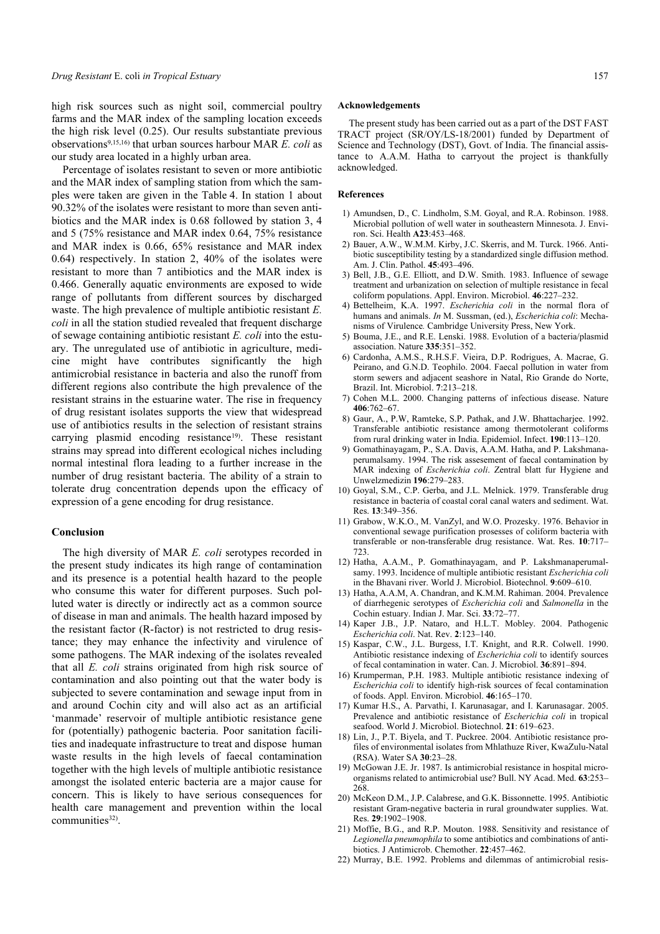high risk sources such as night soil, commercial poultry farms and the MAR index of the sampling location exceeds the high risk level (0.25). Our results substantiate previous observations9,15,16) that urban sources harbour MAR E. coli as our study area located in a highly urban area.

Percentage of isolates resistant to seven or more antibiotic and the MAR index of sampling station from which the samples were taken are given in the Table 4. In station 1 about 90.32% of the isolates were resistant to more than seven antibiotics and the MAR index is 0.68 followed by station 3, 4 and 5 (75% resistance and MAR index 0.64, 75% resistance and MAR index is 0.66, 65% resistance and MAR index 0.64) respectively. In station 2, 40% of the isolates were resistant to more than 7 antibiotics and the MAR index is 0.466. Generally aquatic environments are exposed to wide range of pollutants from different sources by discharged waste. The high prevalence of multiple antibiotic resistant E. coli in all the station studied revealed that frequent discharge of sewage containing antibiotic resistant E. coli into the estuary. The unregulated use of antibiotic in agriculture, medicine might have contributes significantly the high antimicrobial resistance in bacteria and also the runoff from different regions also contribute the high prevalence of the resistant strains in the estuarine water. The rise in frequency of drug resistant isolates supports the view that widespread use of antibiotics results in the selection of resistant strains carrying plasmid encoding resistance<sup>19)</sup>. These resistant strains may spread into different ecological niches including normal intestinal flora leading to a further increase in the number of drug resistant bacteria. The ability of a strain to tolerate drug concentration depends upon the efficacy of expression of a gene encoding for drug resistance.

# Conclusion

The high diversity of MAR E. coli serotypes recorded in the present study indicates its high range of contamination and its presence is a potential health hazard to the people who consume this water for different purposes. Such polluted water is directly or indirectly act as a common source of disease in man and animals. The health hazard imposed by the resistant factor (R-factor) is not restricted to drug resistance; they may enhance the infectivity and virulence of some pathogens. The MAR indexing of the isolates revealed that all E. coli strains originated from high risk source of contamination and also pointing out that the water body is subjected to severe contamination and sewage input from in and around Cochin city and will also act as an artificial 'manmade' reservoir of multiple antibiotic resistance gene for (potentially) pathogenic bacteria. Poor sanitation facilities and inadequate infrastructure to treat and dispose human waste results in the high levels of faecal contamination together with the high levels of multiple antibiotic resistance amongst the isolated enteric bacteria are a major cause for concern. This is likely to have serious consequences for health care management and prevention within the local communities<sup>32)</sup>.

### Acknowledgements

The present study has been carried out as a part of the DST FAST TRACT project (SR/OY/LS-18/2001) funded by Department of Science and Technology (DST), Govt. of India. The financial assistance to A.A.M. Hatha to carryout the project is thankfully acknowledged.

#### References

- 1) Amundsen, D., C. Lindholm, S.M. Goyal, and R.A. Robinson. 1988. Microbial pollution of well water in southeastern Minnesota. J. Environ. Sci. Health A23:453–468.
- 2) Bauer, A.W., W.M.M. Kirby, J.C. Skerris, and M. Turck. 1966. Antibiotic susceptibility testing by a standardized single diffusion method. Am. J. Clin. Pathol. 45:493–496.
- 3) Bell, J.B., G.E. Elliott, and D.W. Smith. 1983. Influence of sewage treatment and urbanization on selection of multiple resistance in fecal coliform populations. Appl. Environ. Microbiol. 46:227–232.
- 4) Bettelheim, K.A. 1997. Escherichia coli in the normal flora of humans and animals. In M. Sussman, (ed.), Escherichia coli: Mechanisms of Virulence. Cambridge University Press, New York.
- 5) Bouma, J.E., and R.E. Lenski. 1988. Evolution of a bacteria/plasmid association. Nature 335:351–352.
- 6) Cardonha, A.M.S., R.H.S.F. Vieira, D.P. Rodrigues, A. Macrae, G. Peirano, and G.N.D. Teophilo. 2004. Faecal pollution in water from storm sewers and adjacent seashore in Natal, Rio Grande do Norte, Brazil. Int. Microbiol. 7:213–218.
- 7) Cohen M.L. 2000. Changing patterns of infectious disease. Nature 406:762–67.
- 8) Gaur, A., P.W, Ramteke, S.P. Pathak, and J.W. Bhattacharjee. 1992. Transferable antibiotic resistance among thermotolerant coliforms from rural drinking water in India. Epidemiol. Infect. 190:113–120.
- 9) Gomathinayagam, P., S.A. Davis, A.A.M. Hatha, and P. Lakshmanaperumalsamy. 1994. The risk assesement of faecal contamination by MAR indexing of Escherichia coli. Zentral blatt fur Hygiene and Unwelzmedizin 196:279–283.
- 10) Goyal, S.M., C.P. Gerba, and J.L. Melnick. 1979. Transferable drug resistance in bacteria of coastal coral canal waters and sediment. Wat. Res. 13:349–356.
- 11) Grabow, W.K.O., M. VanZyl, and W.O. Prozesky. 1976. Behavior in conventional sewage purification prosesses of coliform bacteria with transferable or non-transferable drug resistance. Wat. Res. 10:717– 723.
- 12) Hatha, A.A.M., P. Gomathinayagam, and P. Lakshmanaperumalsamy. 1993. Incidence of multiple antibiotic resistant Escherichia coli in the Bhavani river. World J. Microbiol. Biotechnol. 9:609–610.
- 13) Hatha, A.A.M, A. Chandran, and K.M.M. Rahiman. 2004. Prevalence of diarrhegenic serotypes of Escherichia coli and Salmonella in the Cochin estuary. Indian J. Mar. Sci. 33:72–77.
- 14) Kaper J.B., J.P. Nataro, and H.L.T. Mobley. 2004. Pathogenic Escherichia coli. Nat. Rev. 2:123–140.
- 15) Kaspar, C.W., J.L. Burgess, I.T. Knight, and R.R. Colwell. 1990. Antibiotic resistance indexing of Escherichia coli to identify sources of fecal contamination in water. Can. J. Microbiol. 36:891–894.
- 16) Krumperman, P.H. 1983. Multiple antibiotic resistance indexing of Escherichia coli to identify high-risk sources of fecal contamination of foods. Appl. Environ. Microbiol. 46:165–170.
- 17) Kumar H.S., A. Parvathi, I. Karunasagar, and I. Karunasagar. 2005. Prevalence and antibiotic resistance of Escherichia coli in tropical seafood. World J. Microbiol. Biotechnol. 21: 619–623.
- 18) Lin, J., P.T. Biyela, and T. Puckree. 2004. Antibiotic resistance profiles of environmental isolates from Mhlathuze River, KwaZulu-Natal (RSA). Water SA 30:23–28.
- 19) McGowan J.E. Jr. 1987. Is antimicrobial resistance in hospital microorganisms related to antimicrobial use? Bull. NY Acad. Med. 63:253– 268.
- 20) McKeon D.M., J.P. Calabrese, and G.K. Bissonnette. 1995. Antibiotic resistant Gram-negative bacteria in rural groundwater supplies. Wat. Res. 29:1902–1908.
- 21) Moffie, B.G., and R.P. Mouton. 1988. Sensitivity and resistance of Legionella pneumophila to some antibiotics and combinations of antibiotics. J Antimicrob. Chemother. 22:457–462.
- 22) Murray, B.E. 1992. Problems and dilemmas of antimicrobial resis-